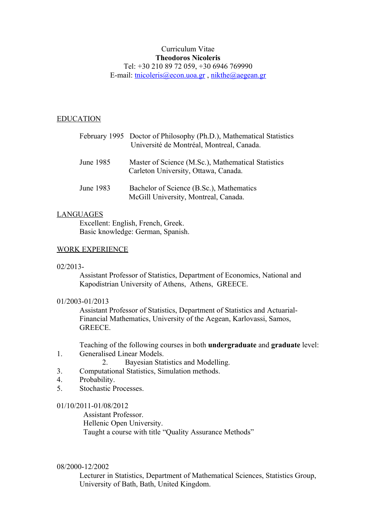### Curriculum Vitae **Theodoros Nicoleris** Tel: +30 210 89 72 059, +30 6946 769990 E-mail: [tnicoleris@econ.uoa.gr](mailto:tnicoleris@econ.uoa.gr) , [nikthe@aegean.gr](mailto:nikthe@aegean.gr)

#### EDUCATION

|           | February 1995 Doctor of Philosophy (Ph.D.), Mathematical Statistics<br>Université de Montréal, Montreal, Canada. |
|-----------|------------------------------------------------------------------------------------------------------------------|
| June 1985 | Master of Science (M.Sc.), Mathematical Statistics<br>Carleton University, Ottawa, Canada.                       |
| June 1983 | Bachelor of Science (B.Sc.), Mathematics<br>McGill University, Montreal, Canada.                                 |

#### LANGUAGES

Excellent: English, French, Greek. Basic knowledge: German, Spanish.

### WORK EXPERIENCE

02/2013-

Assistant Professor of Statistics, Department of Economics, National and Kapodistrian University of Athens, Athens, GREECE.

#### 01/2003-01/2013

Assistant Professor of Statistics, Department of Statistics and Actuarial-Financial Mathematics, University of the Aegean, Karlovassi, Samos, GREECE.

Teaching of the following courses in both **undergraduate** and **graduate** level: 1. Generalised Linear Models.

- 2. Bayesian Statistics and Modelling.
- 3. Computational Statistics, Simulation methods.
- 4. Probability.
- 5. Stochastic Processes.

#### 01/10/2011-01/08/2012

 Assistant Professor. Hellenic Open University. Taught a course with title "Quality Assurance Methods"

#### 08/2000-12/2002

Lecturer in Statistics, Department of Mathematical Sciences, Statistics Group, University of Bath, Bath, United Kingdom.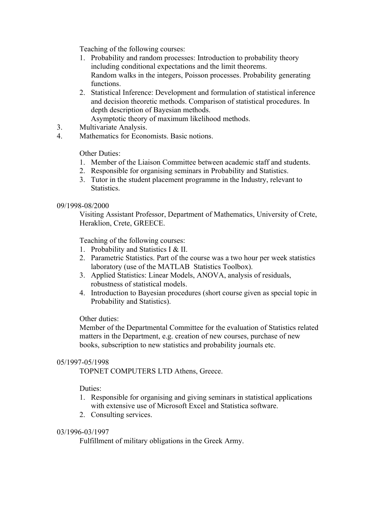Teaching of the following courses:

- 1. Probability and random processes: Introduction to probability theory including conditional expectations and the limit theorems. Random walks in the integers, Poisson processes. Probability generating functions.
- 2. Statistical Inference: Development and formulation of statistical inference and decision theoretic methods. Comparison of statistical procedures. In depth description of Bayesian methods.

Asymptotic theory of maximum likelihood methods.

- 3. Multivariate Analysis.
- 4. Mathematics for Economists. Basic notions.

Other Duties:

- 1. Member of the Liaison Committee between academic staff and students.
- 2. Responsible for organising seminars in Probability and Statistics.
- 3. Tutor in the student placement programme in the Industry, relevant to Statistics.

### 09/1998-08/2000

Visiting Assistant Professor, Department of Mathematics, University of Crete, Heraklion, Crete, GREECE.

Teaching of the following courses:

- 1. Probability and Statistics I & II.
- 2. Parametric Statistics. Part of the course was a two hour per week statistics laboratory (use of the MATLAB Statistics Toolbox).
- 3. Applied Statistics: Linear Models, ANOVA, analysis of residuals, robustness of statistical models.
- 4. Introduction to Bayesian procedures (short course given as special topic in Probability and Statistics).

# Other duties:

Member of the Departmental Committee for the evaluation of Statistics related matters in the Department, e.g. creation of new courses, purchase of new books, subscription to new statistics and probability journals etc.

### 05/1997-05/1998

TOPNET COMPUTERS LTD Athens, Greece.

### Duties:

- 1. Responsible for organising and giving seminars in statistical applications with extensive use of Microsoft Excel and Statistica software.
- 2. Consulting services.

### 03/1996-03/1997

Fulfillment of military obligations in the Greek Army.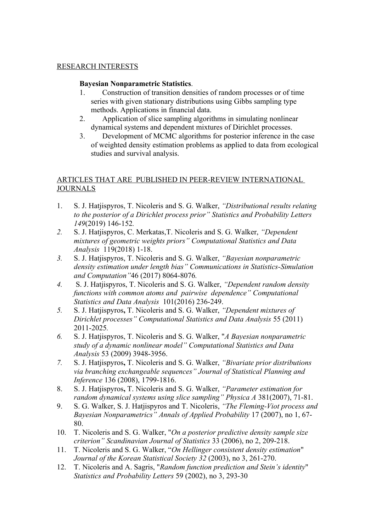### RESEARCH INTERESTS

## **Bayesian Nonparametric Statistics**.

- 1. Construction of transition densities of random processes or of time series with given stationary distributions using Gibbs sampling type methods. Applications in financial data.
- 2. Application of slice sampling algorithms in simulating nonlinear dynamical systems and dependent mixtures of Dirichlet processes.
- 3. Development of MCMC algorithms for posterior inference in the case of weighted density estimation problems as applied to data from ecological studies and survival analysis.

# ARTICLES THAT ARE PUBLISHED IN PEER-REVIEW INTERNATIONAL **JOURNALS**

- 1. S. J. Hatjispyros, T. Nicoleris and S. G. Walker, *"Distributional results relating to the posterior of a Dirichlet process prior" Statistics and Probability Letters 149*(2019) 146-152*.*
- *2.* S. J. Hatjispyros, C. Merkatas,T. Nicoleris and S. G. Walker, *"Dependent mixtures of geometric weights priors" Computational Statistics and Data Analysis* 119(2018) 1-18.
- *3.* S. J. Hatjispyros, T. Nicoleris and S. G. Walker, *"Bayesian nonparametric density estimation under length bias" Communications in Statistics-Simulation and Computation"*46 (2017) 8064-8076*.*
- *4.* S. J. Hatjispyros, T. Nicoleris and S. G. Walker, *"Dependent random density functions with common atoms and pairwise dependence" Computational Statistics and Data Analysis* 101(2016) 236-249.
- *5.* S. J. Hatjispyros**,** T. Nicoleris and S. G. Walker, *"Dependent mixtures of Dirichlet processes" Computational Statistics and Data Analysis* 55 (2011) 2011-2025*.*
- *6.* S. J. Hatjispyros, T. Nicoleris and S. G. Walker, "*A Bayesian nonparametric study of a dynamic nonlinear model" Computational Statistics and Data Analysis* 53 (2009) 3948-3956.
- *7.* S. J. Hatjispyros**,** T. Nicoleris and S. G. Walker, *"Bivariate prior distributions via branching exchangeable sequences" Journal of Statistical Planning and Inference* 136 (2008), 1799-1816.
- 8. S. J. Hatjispyros**,** T. Nicoleris and S. G. Walker, *"Parameter estimation for random dynamical systems using slice sampling" Physica A* 381(2007), 71-81.
- 9. S. G. Walker, S. J. Hatjispyros and T. Nicoleris, *"The Fleming-Viot process and Bayesian Nonparametrics" Annals of Applied Probability* 17 (2007), no 1, 67- 80.
- 10. T. Nicoleris and S. G. Walker, "*On a posterior predictive density sample size criterion" Scandinavian Journal of Statistics* 33 (2006), no 2, 209-218.
- 11. T. Nicoleris and S. G. Walker, "*On Hellinger consistent density estimation*" *Journal of the Korean Statistical Society 32* (2003), no 3, 261-270.
- 12. T. Nicoleris and A. Sagris, "*Random function prediction and Stein's identity*" *Statistics and Probability Letters* 59 (2002), no 3, 293-30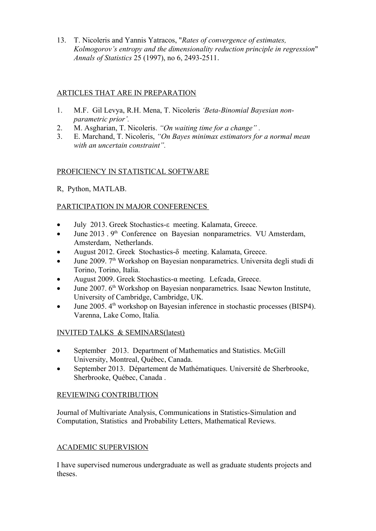13. T. Nicoleris and Yannis Yatracos, "*Rates of convergence of estimates, Kolmogorov's entropy and the dimensionality reduction principle in regression*" *Annals of Statistics* 25 (1997), no 6, 2493-2511.

# ARTICLES THAT ARE IN PREPARATION

- 1. M.F. Gil Levya, R.H. Mena, T. Nicoleris *'Beta-Binomial Bayesian nonparametric prior'.*
- 2. M. Asgharian, T. Nicoleris. *"On waiting time for a change" .*
- 3. E. Marchand, T. Nicoleris, *"On Bayes minimax estimators for a normal mean with an uncertain constraint".*

# PROFICIENCY IN STATISTICAL SOFTWARE

R, Python, MATLAB.

# PARTICIPATION IN MAJOR CONFERENCES

- July 2013. Greek Stochastics-ε meeting. Kalamata, Greece.
- $\bullet$  June 2013 . 9<sup>th</sup> Conference on Bayesian nonparametrics. VU Amsterdam, Amsterdam, Netherlands.
- August 2012. Greek Stochastics-δ meeting. Kalamata, Greece.
- June 2009. 7th Workshop on Bayesian nonparametrics. Universita degli studi di Torino, Torino, Italia.
- August 2009. Greek Stochastics-α meeting. Lefcada, Greece.
- $\bullet$  June 2007.  $6<sup>th</sup>$  Workshop on Bayesian nonparametrics. Isaac Newton Institute, University of Cambridge, Cambridge, UK*.*
- June 2005. 4<sup>th</sup> workshop on Bayesian inference in stochastic processes (BISP4). Varenna, Lake Como, Italia*.*

# INVITED TALKS & SEMINARS(latest)

- September 2013. Department of Mathematics and Statistics. McGill University, Montreal, Québec, Canada.
- September 2013. Département de Mathématiques. Université de Sherbrooke, Sherbrooke, Québec, Canada .

# REVIEWING CONTRIBUTION

Journal of Multivariate Analysis, Communications in Statistics-Simulation and Computation, Statistics and Probability Letters, Mathematical Reviews.

# ACADEMIC SUPERVISION

I have supervised numerous undergraduate as well as graduate students projects and theses.